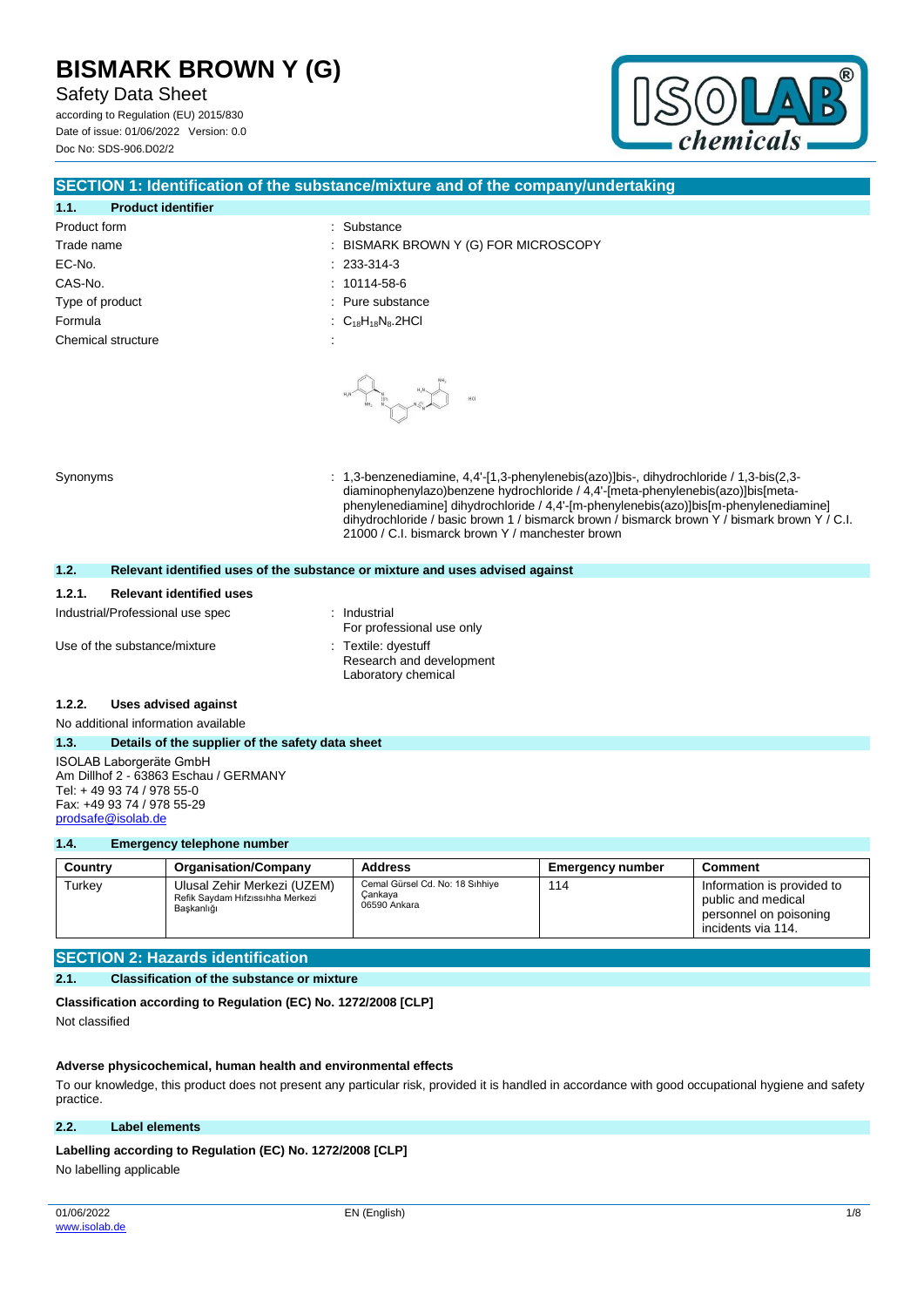Safety Data Sheet

according to Regulation (EU) 2015/830 Date of issue: 01/06/2022 Version: 0.0 Doc No: SDS-906.D02/2



### **SECTION 1: Identification of the substance/mixture and of the company/undertaking**

| 1.1.<br><b>Product identifier</b>  |                                                                   |
|------------------------------------|-------------------------------------------------------------------|
| Product form                       | : Substance                                                       |
| Trade name                         | : BISMARK BROWN Y (G) FOR MICROSCOPY                              |
| EC-No.                             | $: 233-314-3$                                                     |
| CAS-No.                            | $: 10114 - 58 - 6$                                                |
| Type of product                    | : Pure substance                                                  |
| Formula                            | $\therefore$ C <sub>18</sub> H <sub>18</sub> N <sub>8</sub> .2HCl |
| Chemical structure<br>$\cdot$<br>× |                                                                   |
|                                    |                                                                   |
|                                    | $\mathsf{HH}_2$                                                   |

Synonyms : 1,3-benzenediamine, 4,4'-[1,3-phenylenebis(azo)]bis-, dihydrochloride / 1,3-bis(2,3 diaminophenylazo)benzene hydrochloride / 4,4'-[meta-phenylenebis(azo)]bis[metaphenylenediamine] dihydrochloride / 4,4'-[m-phenylenebis(azo)]bis[m-phenylenediamine] dihydrochloride / basic brown 1 / bismarck brown / bismarck brown Y / bismark brown Y / C.I. 21000 / C.I. bismarck brown Y / manchester brown

#### **1.2. Relevant identified uses of the substance or mixture and uses advised against**

| 1.2.1. | <b>Relevant identified uses</b>  |              |
|--------|----------------------------------|--------------|
|        | Industrial/Professional use spec | : Industrial |

Use of the substance/mixture : Textile: dyestuff

For professional use only Research and development Laboratory chemical

#### **1.2.2. Uses advised against**

No additional information available

#### **1.3. Details of the supplier of the safety data sheet** ISOLAB Laborgeräte GmbH Am Dillhof 2 - 63863 Eschau / GERMANY Tel: + 49 93 74 / 978 55-0 Fax: +49 93 74 / 978 55-29

[prodsafe@isolab.de](mailto:prodsafe@isolab.de)

## **1.4. Emergency telephone number**

| Country | <b>Organisation/Company</b>                                                   | <b>Address</b>                                             | Emergency number | Comment                                                                                          |
|---------|-------------------------------------------------------------------------------|------------------------------------------------------------|------------------|--------------------------------------------------------------------------------------------------|
| Turkey  | Ulusal Zehir Merkezi (UZEM)<br>Refik Saydam Hıfzıssıhha Merkezi<br>Baskanlığı | Cemal Gürsel Cd. No: 18 Sıhhiye<br>Cankaya<br>06590 Ankara | 114              | Information is provided to<br>public and medical<br>personnel on poisoning<br>incidents via 114. |

## **SECTION 2: Hazards identification**

#### **2.1. Classification of the substance or mixture**

**Classification according to Regulation (EC) No. 1272/2008 [CLP]** Not classified

#### **Adverse physicochemical, human health and environmental effects**

To our knowledge, this product does not present any particular risk, provided it is handled in accordance with good occupational hygiene and safety practice.

#### **2.2. Label elements**

#### Labelling according to Regulation (EC) No. 1272/2008 [CLP]

No labelling applicable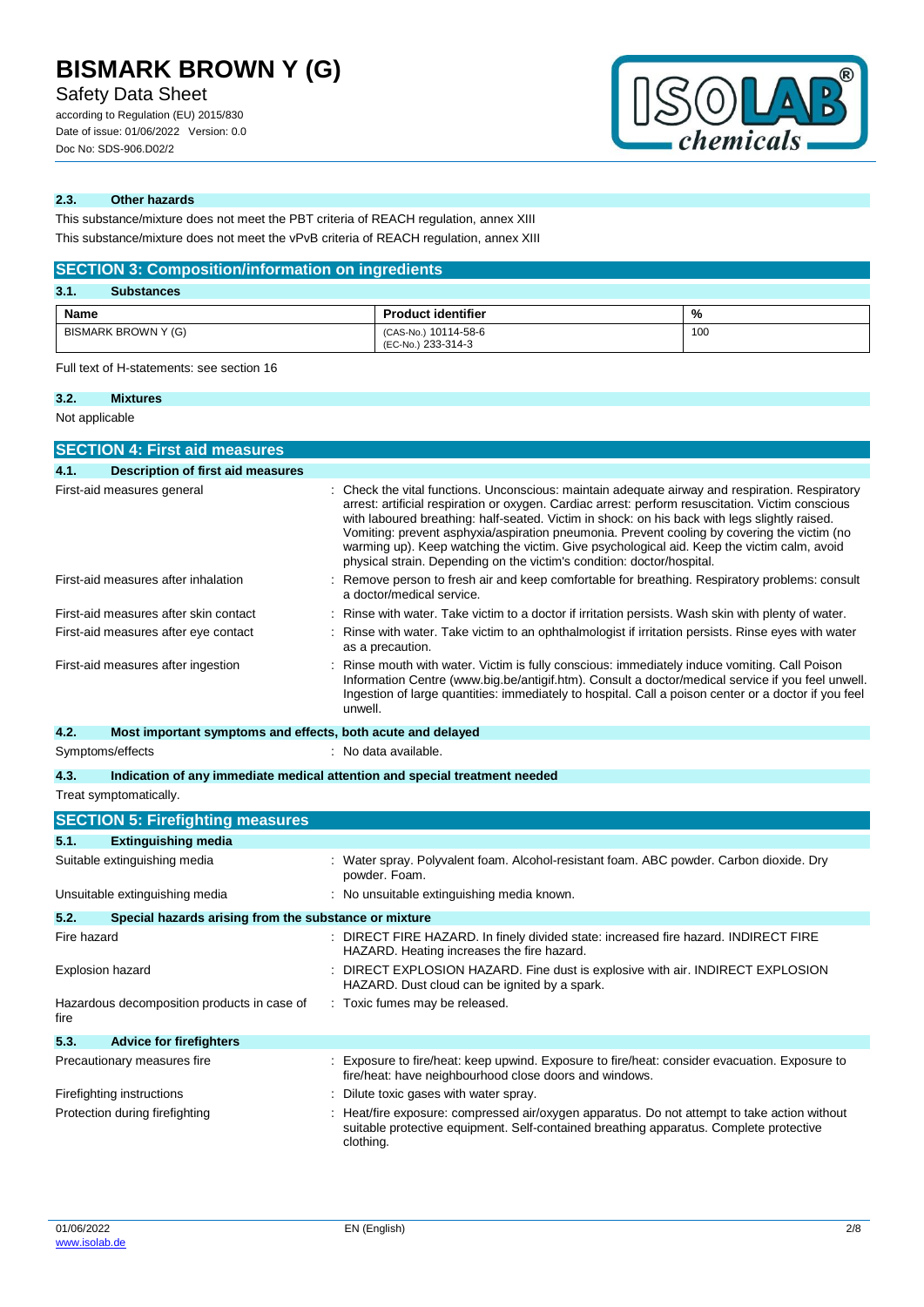Safety Data Sheet

according to Regulation (EU) 2015/830 Date of issue: 01/06/2022 Version: 0.0 Doc No: SDS-906.D02/2



### **2.3. Other hazards**

This substance/mixture does not meet the PBT criteria of REACH regulation, annex XIII This substance/mixture does not meet the vPvB criteria of REACH regulation, annex XIII

## **SECTION 3: Composition/information on ingredients**

| 3.1.<br><b>Substances</b> |                                            |     |
|---------------------------|--------------------------------------------|-----|
| Name                      | <b>Product identifier</b>                  | %   |
| BISMARK BROWN Y (G)       | (CAS-No.) 10114-58-6<br>(EC-No.) 233-314-3 | 100 |

Full text of H-statements: see section 16

### **3.2. Mixtures**

Not applicable

|             | <b>SECTION 4: First aid measures</b>                                       |  |                                                                                                                                                                                                                                                                                                                                                                                                                                                                                                                                                                            |
|-------------|----------------------------------------------------------------------------|--|----------------------------------------------------------------------------------------------------------------------------------------------------------------------------------------------------------------------------------------------------------------------------------------------------------------------------------------------------------------------------------------------------------------------------------------------------------------------------------------------------------------------------------------------------------------------------|
| 4.1.        | <b>Description of first aid measures</b>                                   |  |                                                                                                                                                                                                                                                                                                                                                                                                                                                                                                                                                                            |
|             | First-aid measures general                                                 |  | Check the vital functions. Unconscious: maintain adequate airway and respiration. Respiratory<br>arrest: artificial respiration or oxygen. Cardiac arrest: perform resuscitation. Victim conscious<br>with laboured breathing: half-seated. Victim in shock: on his back with legs slightly raised.<br>Vomiting: prevent asphyxia/aspiration pneumonia. Prevent cooling by covering the victim (no<br>warming up). Keep watching the victim. Give psychological aid. Keep the victim calm, avoid<br>physical strain. Depending on the victim's condition: doctor/hospital. |
|             | First-aid measures after inhalation                                        |  | Remove person to fresh air and keep comfortable for breathing. Respiratory problems: consult<br>a doctor/medical service.                                                                                                                                                                                                                                                                                                                                                                                                                                                  |
|             | First-aid measures after skin contact                                      |  | Rinse with water. Take victim to a doctor if irritation persists. Wash skin with plenty of water.                                                                                                                                                                                                                                                                                                                                                                                                                                                                          |
|             | First-aid measures after eye contact                                       |  | Rinse with water. Take victim to an ophthalmologist if irritation persists. Rinse eyes with water<br>as a precaution.                                                                                                                                                                                                                                                                                                                                                                                                                                                      |
|             | First-aid measures after ingestion                                         |  | Rinse mouth with water. Victim is fully conscious: immediately induce vomiting. Call Poison<br>Information Centre (www.big.be/antigif.htm). Consult a doctor/medical service if you feel unwell.<br>Ingestion of large quantities: immediately to hospital. Call a poison center or a doctor if you feel<br>unwell.                                                                                                                                                                                                                                                        |
| 4.2.        | Most important symptoms and effects, both acute and delayed                |  |                                                                                                                                                                                                                                                                                                                                                                                                                                                                                                                                                                            |
|             | Symptoms/effects                                                           |  | : No data available.                                                                                                                                                                                                                                                                                                                                                                                                                                                                                                                                                       |
| 4.3.        | Indication of any immediate medical attention and special treatment needed |  |                                                                                                                                                                                                                                                                                                                                                                                                                                                                                                                                                                            |
|             | Treat symptomatically.                                                     |  |                                                                                                                                                                                                                                                                                                                                                                                                                                                                                                                                                                            |
|             | <b>SECTION 5: Firefighting measures</b>                                    |  |                                                                                                                                                                                                                                                                                                                                                                                                                                                                                                                                                                            |
| 5.1.        | <b>Extinguishing media</b>                                                 |  |                                                                                                                                                                                                                                                                                                                                                                                                                                                                                                                                                                            |
|             | Suitable extinguishing media                                               |  | Water spray. Polyvalent foam. Alcohol-resistant foam. ABC powder. Carbon dioxide. Dry<br>powder. Foam.                                                                                                                                                                                                                                                                                                                                                                                                                                                                     |
|             | Unsuitable extinguishing media                                             |  | : No unsuitable extinguishing media known.                                                                                                                                                                                                                                                                                                                                                                                                                                                                                                                                 |
| 5.2.        | Special hazards arising from the substance or mixture                      |  |                                                                                                                                                                                                                                                                                                                                                                                                                                                                                                                                                                            |
| Fire hazard |                                                                            |  | : DIRECT FIRE HAZARD. In finely divided state: increased fire hazard. INDIRECT FIRE<br>HAZARD. Heating increases the fire hazard.                                                                                                                                                                                                                                                                                                                                                                                                                                          |
|             | <b>Explosion hazard</b>                                                    |  | DIRECT EXPLOSION HAZARD. Fine dust is explosive with air. INDIRECT EXPLOSION<br>HAZARD. Dust cloud can be ignited by a spark.                                                                                                                                                                                                                                                                                                                                                                                                                                              |
| fire        | Hazardous decomposition products in case of                                |  | : Toxic fumes may be released.                                                                                                                                                                                                                                                                                                                                                                                                                                                                                                                                             |
| 5.3.        | <b>Advice for firefighters</b>                                             |  |                                                                                                                                                                                                                                                                                                                                                                                                                                                                                                                                                                            |
|             | Precautionary measures fire                                                |  | Exposure to fire/heat: keep upwind. Exposure to fire/heat: consider evacuation. Exposure to<br>fire/heat: have neighbourhood close doors and windows.                                                                                                                                                                                                                                                                                                                                                                                                                      |
|             | Firefighting instructions                                                  |  | Dilute toxic gases with water spray.                                                                                                                                                                                                                                                                                                                                                                                                                                                                                                                                       |

Protection during firefighting **intercontagative and the exposure:** compressed air/oxygen apparatus. Do not attempt to take action without suitable protective equipment. Self-contained breathing apparatus. Complete protective clothing.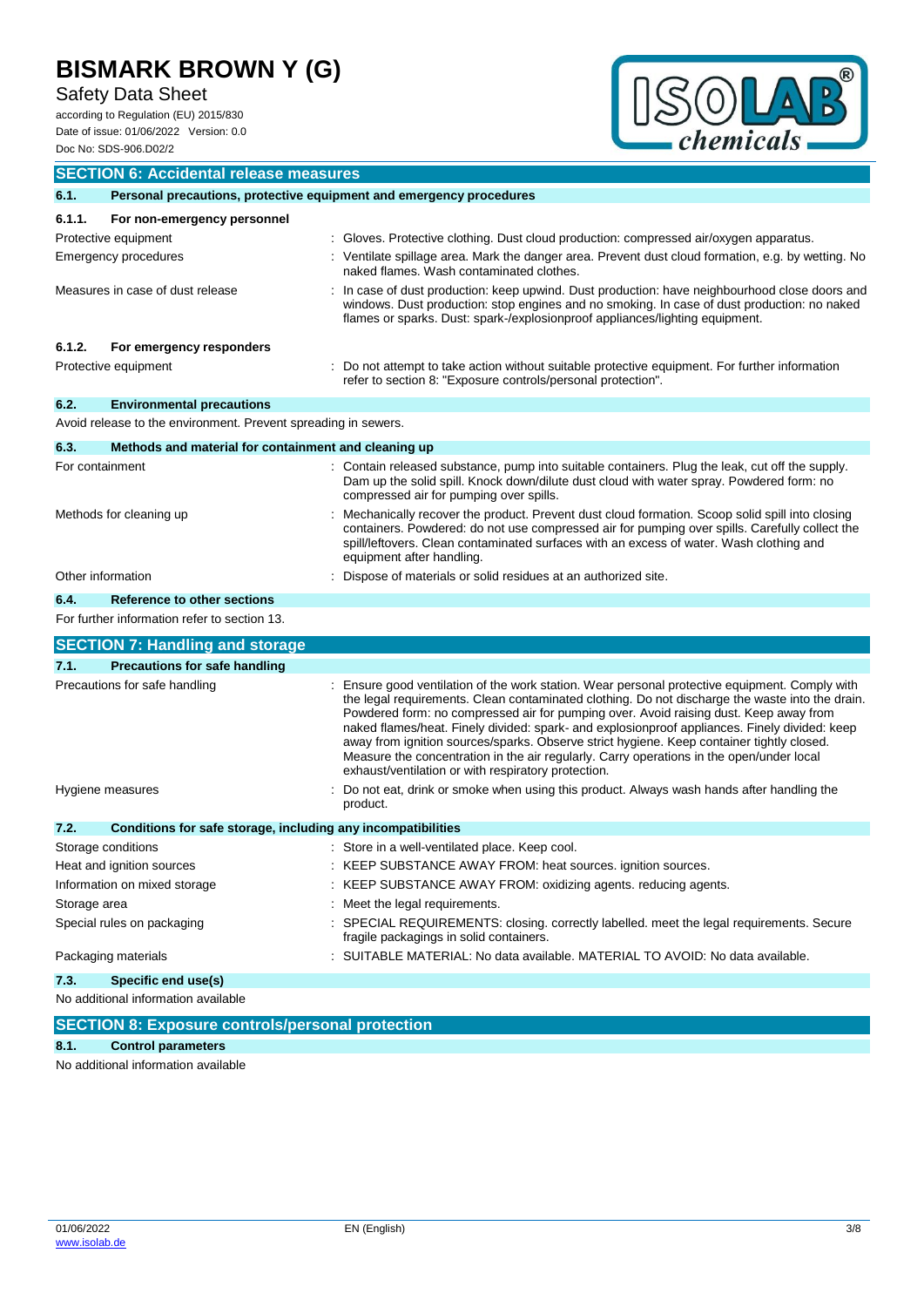# Safety Data Sheet

according to Regulation (EU) 2015/830 Date of issue: 01/06/2022 Version: 0.0



| Doc No: SDS-906.D02/2                                                       | enemicais                                                                                                                                                                                                                                                                                                                                                                                                                                                                                                                                                                                                                                   |
|-----------------------------------------------------------------------------|---------------------------------------------------------------------------------------------------------------------------------------------------------------------------------------------------------------------------------------------------------------------------------------------------------------------------------------------------------------------------------------------------------------------------------------------------------------------------------------------------------------------------------------------------------------------------------------------------------------------------------------------|
| <b>SECTION 6: Accidental release measures</b>                               |                                                                                                                                                                                                                                                                                                                                                                                                                                                                                                                                                                                                                                             |
| 6.1.<br>Personal precautions, protective equipment and emergency procedures |                                                                                                                                                                                                                                                                                                                                                                                                                                                                                                                                                                                                                                             |
| 6.1.1.<br>For non-emergency personnel                                       |                                                                                                                                                                                                                                                                                                                                                                                                                                                                                                                                                                                                                                             |
| Protective equipment                                                        | : Gloves. Protective clothing. Dust cloud production: compressed air/oxygen apparatus.                                                                                                                                                                                                                                                                                                                                                                                                                                                                                                                                                      |
| <b>Emergency procedures</b>                                                 | : Ventilate spillage area. Mark the danger area. Prevent dust cloud formation, e.g. by wetting. No<br>naked flames. Wash contaminated clothes.                                                                                                                                                                                                                                                                                                                                                                                                                                                                                              |
| Measures in case of dust release                                            | : In case of dust production: keep upwind. Dust production: have neighbourhood close doors and<br>windows. Dust production: stop engines and no smoking. In case of dust production: no naked<br>flames or sparks. Dust: spark-/explosionproof appliances/lighting equipment.                                                                                                                                                                                                                                                                                                                                                               |
| 6.1.2.<br>For emergency responders                                          |                                                                                                                                                                                                                                                                                                                                                                                                                                                                                                                                                                                                                                             |
| Protective equipment                                                        | : Do not attempt to take action without suitable protective equipment. For further information<br>refer to section 8: "Exposure controls/personal protection".                                                                                                                                                                                                                                                                                                                                                                                                                                                                              |
| 6.2.<br><b>Environmental precautions</b>                                    |                                                                                                                                                                                                                                                                                                                                                                                                                                                                                                                                                                                                                                             |
| Avoid release to the environment. Prevent spreading in sewers.              |                                                                                                                                                                                                                                                                                                                                                                                                                                                                                                                                                                                                                                             |
| 6.3.<br>Methods and material for containment and cleaning up                |                                                                                                                                                                                                                                                                                                                                                                                                                                                                                                                                                                                                                                             |
| For containment                                                             | : Contain released substance, pump into suitable containers. Plug the leak, cut off the supply.<br>Dam up the solid spill. Knock down/dilute dust cloud with water spray. Powdered form: no<br>compressed air for pumping over spills.                                                                                                                                                                                                                                                                                                                                                                                                      |
| Methods for cleaning up                                                     | : Mechanically recover the product. Prevent dust cloud formation. Scoop solid spill into closing<br>containers. Powdered: do not use compressed air for pumping over spills. Carefully collect the<br>spill/leftovers. Clean contaminated surfaces with an excess of water. Wash clothing and<br>equipment after handling.                                                                                                                                                                                                                                                                                                                  |
| Other information                                                           | : Dispose of materials or solid residues at an authorized site.                                                                                                                                                                                                                                                                                                                                                                                                                                                                                                                                                                             |
| 6.4.<br>Reference to other sections                                         |                                                                                                                                                                                                                                                                                                                                                                                                                                                                                                                                                                                                                                             |
| For further information refer to section 13.                                |                                                                                                                                                                                                                                                                                                                                                                                                                                                                                                                                                                                                                                             |
| <b>SECTION 7: Handling and storage</b>                                      |                                                                                                                                                                                                                                                                                                                                                                                                                                                                                                                                                                                                                                             |
| <b>Precautions for safe handling</b><br>7.1.                                |                                                                                                                                                                                                                                                                                                                                                                                                                                                                                                                                                                                                                                             |
| Precautions for safe handling                                               | : Ensure good ventilation of the work station. Wear personal protective equipment. Comply with<br>the legal requirements. Clean contaminated clothing. Do not discharge the waste into the drain.<br>Powdered form: no compressed air for pumping over. Avoid raising dust. Keep away from<br>naked flames/heat. Finely divided: spark- and explosionproof appliances. Finely divided: keep<br>away from ignition sources/sparks. Observe strict hygiene. Keep container tightly closed.<br>Measure the concentration in the air regularly. Carry operations in the open/under local<br>exhaust/ventilation or with respiratory protection. |
| Hygiene measures                                                            | Do not eat, drink or smoke when using this product. Always wash hands after handling the<br>product.                                                                                                                                                                                                                                                                                                                                                                                                                                                                                                                                        |
| 7.2.<br>Conditions for safe storage, including any incompatibilities        |                                                                                                                                                                                                                                                                                                                                                                                                                                                                                                                                                                                                                                             |
| Storage conditions                                                          | : Store in a well-ventilated place. Keep cool.                                                                                                                                                                                                                                                                                                                                                                                                                                                                                                                                                                                              |
| Heat and ignition sources                                                   | : KEEP SUBSTANCE AWAY FROM: heat sources. ignition sources.                                                                                                                                                                                                                                                                                                                                                                                                                                                                                                                                                                                 |
| Information on mixed storage                                                | : KEEP SUBSTANCE AWAY FROM: oxidizing agents. reducing agents.                                                                                                                                                                                                                                                                                                                                                                                                                                                                                                                                                                              |
| Storage area                                                                | : Meet the legal requirements.                                                                                                                                                                                                                                                                                                                                                                                                                                                                                                                                                                                                              |
| Special rules on packaging                                                  | : SPECIAL REQUIREMENTS: closing. correctly labelled. meet the legal requirements. Secure<br>fragile packagings in solid containers.                                                                                                                                                                                                                                                                                                                                                                                                                                                                                                         |
| Packaging materials                                                         | : SUITABLE MATERIAL: No data available. MATERIAL TO AVOID: No data available.                                                                                                                                                                                                                                                                                                                                                                                                                                                                                                                                                               |
| Specific end use(s)<br>7.3.                                                 |                                                                                                                                                                                                                                                                                                                                                                                                                                                                                                                                                                                                                                             |
| No additional information available                                         |                                                                                                                                                                                                                                                                                                                                                                                                                                                                                                                                                                                                                                             |
| <b>SECTION 8: Exposure controls/personal protection</b>                     |                                                                                                                                                                                                                                                                                                                                                                                                                                                                                                                                                                                                                                             |
| 8.1.<br><b>Control parameters</b>                                           |                                                                                                                                                                                                                                                                                                                                                                                                                                                                                                                                                                                                                                             |

No additional information available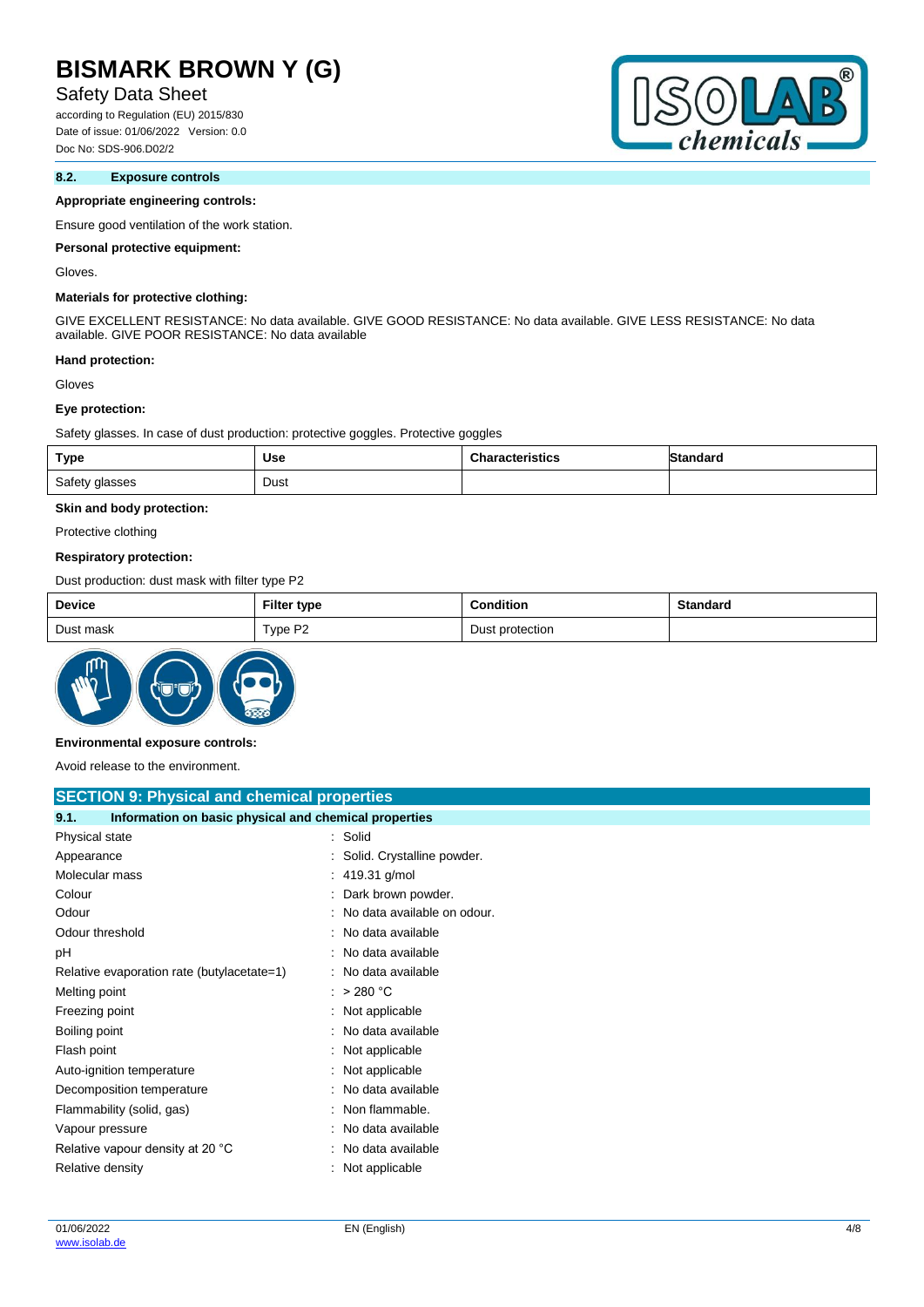## Safety Data Sheet

according to Regulation (EU) 2015/830 Date of issue: 01/06/2022 Version: 0.0 Doc No: SDS-906.D02/2

### **8.2. Exposure controls**

#### **Appropriate engineering controls:**

Ensure good ventilation of the work station.

#### **Personal protective equipment:**

Gloves.

#### **Materials for protective clothing:**

GIVE EXCELLENT RESISTANCE: No data available. GIVE GOOD RESISTANCE: No data available. GIVE LESS RESISTANCE: No data available. GIVE POOR RESISTANCE: No data available

#### **Hand protection:**

Gloves

#### **Eye protection:**

Safety glasses. In case of dust production: protective goggles. Protective goggles

| Type           | Use  | <b>Characteristics</b> | <b>Standard</b> |
|----------------|------|------------------------|-----------------|
| Safety glasses | Dust |                        |                 |

### **Skin and body protection:**

Protective clothing

#### **Respiratory protection:**

Dust production: dust mask with filter type P2

| <b>Device</b> | <b>Filter type</b> | Condition       | Standard |
|---------------|--------------------|-----------------|----------|
| Dust mask     | Type P2            | Dust protection |          |



#### **Environmental exposure controls:**

Avoid release to the environment.

| <b>SECTION 9: Physical and chemical properties</b>            |                               |  |  |
|---------------------------------------------------------------|-------------------------------|--|--|
| 9.1.<br>Information on basic physical and chemical properties |                               |  |  |
| Physical state                                                | : Solid                       |  |  |
| Appearance                                                    | Solid. Crystalline powder.    |  |  |
| Molecular mass                                                | : 419.31 g/mol                |  |  |
| Colour                                                        | Dark brown powder.            |  |  |
| Odour                                                         | : No data available on odour. |  |  |
| Odour threshold                                               | No data available             |  |  |
| рH                                                            | No data available             |  |  |
| Relative evaporation rate (butylacetate=1)                    | : No data available           |  |  |
| Melting point                                                 | : $>280 °C$                   |  |  |
| Freezing point                                                | Not applicable                |  |  |
| Boiling point                                                 | : No data available           |  |  |
| Flash point                                                   | : Not applicable              |  |  |
| Auto-ignition temperature                                     | : Not applicable              |  |  |
| Decomposition temperature                                     | : No data available           |  |  |
| Flammability (solid, gas)                                     | : Non flammable.              |  |  |
| Vapour pressure                                               | : No data available           |  |  |
| Relative vapour density at 20 °C                              | : No data available           |  |  |
| Relative density                                              | Not applicable                |  |  |

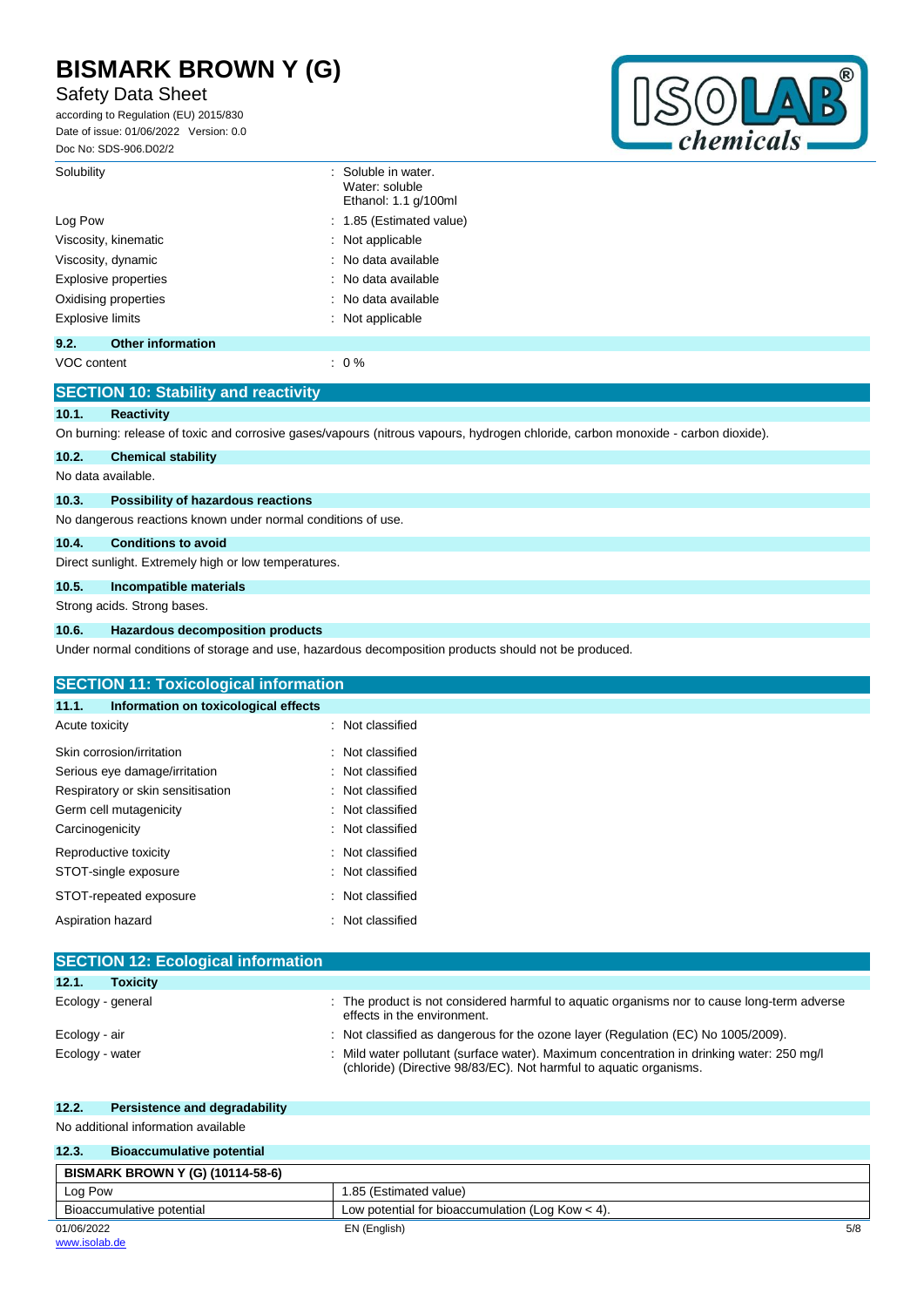# Safety Data Sheet

according to Regulation (EU) 2015/830 Date of issue: 01/06/2022 Version: 0.0 Doc No: SDS-906.D02/2



| Solubility              |                             | : Soluble in water.<br>Water: soluble<br>Ethanol: 1.1 g/100ml |
|-------------------------|-----------------------------|---------------------------------------------------------------|
| Log Pow                 |                             | : 1.85 (Estimated value)                                      |
|                         | Viscosity, kinematic        | $\therefore$ Not applicable                                   |
|                         | Viscosity, dynamic          | : No data available                                           |
|                         | <b>Explosive properties</b> | : No data available                                           |
|                         | Oxidising properties        | : No data available                                           |
| <b>Explosive limits</b> |                             | $\therefore$ Not applicable                                   |
| 9.2.                    | <b>Other information</b>    |                                                               |
|                         |                             |                                                               |

VOC content  $\qquad \qquad : 0\%$ 

|       | <b>SECTION 10: Stability and reactivity</b>                                                                                      |
|-------|----------------------------------------------------------------------------------------------------------------------------------|
| 10.1. | <b>Reactivity</b>                                                                                                                |
|       | On burning: release of toxic and corrosive gases/vapours (nitrous vapours, hydrogen chloride, carbon monoxide - carbon dioxide). |
| 10.2. | <b>Chemical stability</b>                                                                                                        |
|       | No data available.                                                                                                               |
| 10.3. | Possibility of hazardous reactions                                                                                               |
|       | No dangerous reactions known under normal conditions of use.                                                                     |
| 10.4. | <b>Conditions to avoid</b>                                                                                                       |
|       | Direct sunlight. Extremely high or low temperatures.                                                                             |
| 10.5. | Incompatible materials                                                                                                           |
|       | Strong acids. Strong bases.                                                                                                      |
| 10.6. | <b>Hazardous decomposition products</b>                                                                                          |
|       | Under normal conditions of storage and use, hazardous decomposition products should not be produced.                             |

| <b>SECTION 11: Toxicological information</b>  |                     |  |
|-----------------------------------------------|---------------------|--|
| Information on toxicological effects<br>11.1. |                     |  |
| Acute toxicity                                | : Not classified    |  |
| Skin corrosion/irritation                     | : Not classified    |  |
| Serious eye damage/irritation                 | : Not classified    |  |
| Respiratory or skin sensitisation             | : Not classified    |  |
| Germ cell mutagenicity                        | Not classified<br>÷ |  |
| Carcinogenicity                               | : Not classified    |  |
| Reproductive toxicity                         | : Not classified    |  |
| STOT-single exposure                          | : Not classified    |  |
| STOT-repeated exposure                        | : Not classified    |  |
| Aspiration hazard                             | Not classified<br>÷ |  |

| <b>SECTION 12: Ecological information</b> |                                                                                                                                                                 |  |  |
|-------------------------------------------|-----------------------------------------------------------------------------------------------------------------------------------------------------------------|--|--|
| 12.1.<br><b>Toxicity</b>                  |                                                                                                                                                                 |  |  |
| Ecology - general                         | : The product is not considered harmful to aquatic organisms nor to cause long-term adverse<br>effects in the environment.                                      |  |  |
| Ecology - air                             | : Not classified as dangerous for the ozone layer (Regulation (EC) No 1005/2009).                                                                               |  |  |
| Ecology - water                           | : Mild water pollutant (surface water). Maximum concentration in drinking water: 250 mg/l<br>(chloride) (Directive 98/83/EC). Not harmful to aquatic organisms. |  |  |

## **12.2. Persistence and degradability**

No additional information available

| 12.3.<br><b>Bioaccumulative potential</b> |                                                    |     |
|-------------------------------------------|----------------------------------------------------|-----|
| <b>BISMARK BROWN Y (G) (10114-58-6)</b>   |                                                    |     |
| Log Pow                                   | 1.85 (Estimated value)                             |     |
| Bioaccumulative potential                 | Low potential for bioaccumulation (Log Kow $<$ 4). |     |
| 01/06/2022                                | EN (English)                                       | 5/8 |
| www.isolab.de                             |                                                    |     |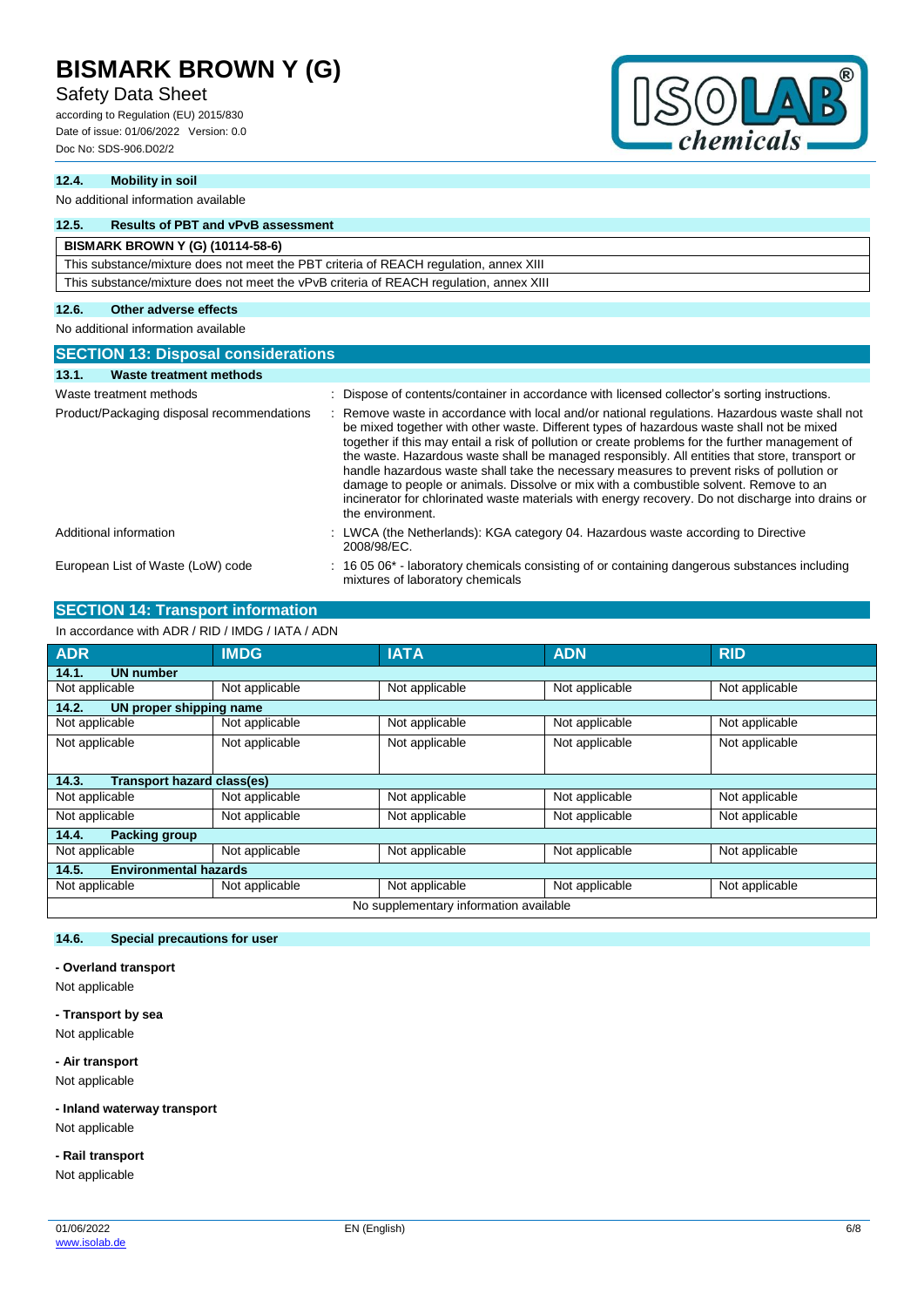## Safety Data Sheet

according to Regulation (EU) 2015/830 Date of issue: 01/06/2022 Version: 0.0 Doc No: SDS-906.D02/2



### **12.4. Mobility in soil**

#### No additional information available

## **12.5. Results of PBT and vPvB assessment**

### **BISMARK BROWN Y (G) (10114-58-6)**

This substance/mixture does not meet the PBT criteria of REACH regulation, annex XIII This substance/mixture does not meet the vPvB criteria of REACH regulation, annex XIII

#### **12.6. Other adverse effects**

No additional information available

| <b>SECTION 13: Disposal considerations</b> |                                                                                                                                                                                                                                                                                                                                                                                                                                                                                                                                                                                                                                                                                                                |  |  |
|--------------------------------------------|----------------------------------------------------------------------------------------------------------------------------------------------------------------------------------------------------------------------------------------------------------------------------------------------------------------------------------------------------------------------------------------------------------------------------------------------------------------------------------------------------------------------------------------------------------------------------------------------------------------------------------------------------------------------------------------------------------------|--|--|
| 13.1.<br>Waste treatment methods           |                                                                                                                                                                                                                                                                                                                                                                                                                                                                                                                                                                                                                                                                                                                |  |  |
| Waste treatment methods                    | Dispose of contents/container in accordance with licensed collector's sorting instructions.<br>$\bullet$                                                                                                                                                                                                                                                                                                                                                                                                                                                                                                                                                                                                       |  |  |
| Product/Packaging disposal recommendations | Remove waste in accordance with local and/or national regulations. Hazardous waste shall not<br>be mixed together with other waste. Different types of hazardous waste shall not be mixed<br>together if this may entail a risk of pollution or create problems for the further management of<br>the waste. Hazardous waste shall be managed responsibly. All entities that store, transport or<br>handle hazardous waste shall take the necessary measures to prevent risks of pollution or<br>damage to people or animals. Dissolve or mix with a combustible solvent. Remove to an<br>incinerator for chlorinated waste materials with energy recovery. Do not discharge into drains or<br>the environment. |  |  |
| Additional information                     | : LWCA (the Netherlands): KGA category 04. Hazardous waste according to Directive<br>2008/98/EC.                                                                                                                                                                                                                                                                                                                                                                                                                                                                                                                                                                                                               |  |  |
| European List of Waste (LoW) code          | : 16 05 06* - laboratory chemicals consisting of or containing dangerous substances including<br>mixtures of laboratory chemicals                                                                                                                                                                                                                                                                                                                                                                                                                                                                                                                                                                              |  |  |

## **SECTION 14: Transport information**

In accordance with ADR / RID / IMDG / IATA / ADN

| <b>ADR</b>                                 | <b>IMDG</b>    | <b>IATA</b>    | <b>ADN</b>     | <b>RID</b>     |
|--------------------------------------------|----------------|----------------|----------------|----------------|
| 14.1.<br><b>UN number</b>                  |                |                |                |                |
| Not applicable                             | Not applicable | Not applicable | Not applicable | Not applicable |
| 14.2.<br>UN proper shipping name           |                |                |                |                |
| Not applicable                             | Not applicable | Not applicable | Not applicable | Not applicable |
| Not applicable                             | Not applicable | Not applicable | Not applicable | Not applicable |
|                                            |                |                |                |                |
| <b>Transport hazard class(es)</b><br>14.3. |                |                |                |                |
| Not applicable                             | Not applicable | Not applicable | Not applicable | Not applicable |
| Not applicable                             | Not applicable | Not applicable | Not applicable | Not applicable |
| 14.4.<br><b>Packing group</b>              |                |                |                |                |
| Not applicable                             | Not applicable | Not applicable | Not applicable | Not applicable |
| <b>Environmental hazards</b><br>14.5.      |                |                |                |                |
| Not applicable                             | Not applicable | Not applicable | Not applicable | Not applicable |
| No supplementary information available     |                |                |                |                |

#### **14.6. Special precautions for user**

**- Overland transport**

Not applicable

**- Transport by sea**

Not applicable

**- Air transport**

Not applicable

**- Inland waterway transport**

Not applicable

**- Rail transport**

Not applicable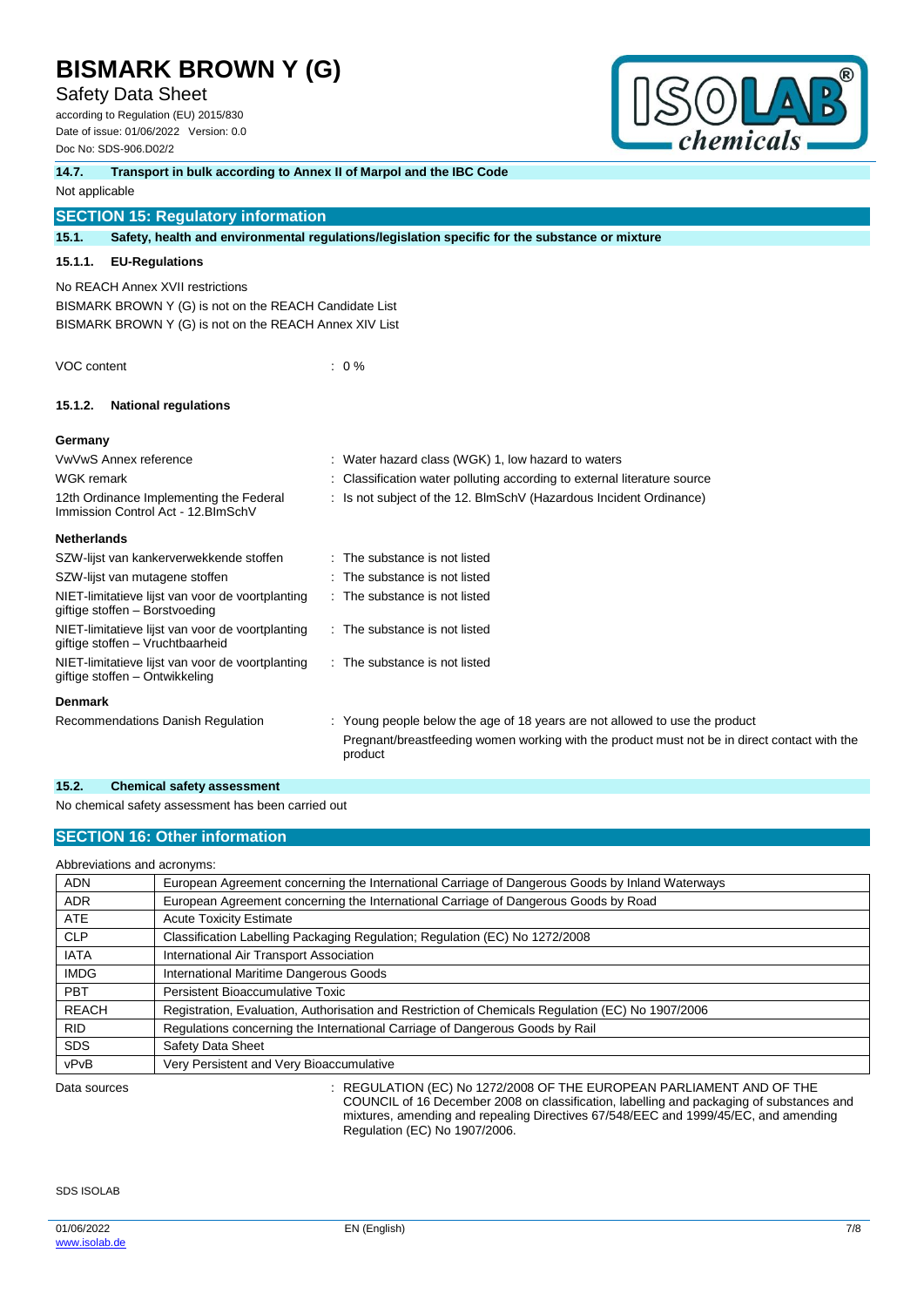**14.7. Transport in bulk according to Annex II of Marpol and the IBC Code**

## Safety Data Sheet

according to Regulation (EU) 2015/830 Date of issue: 01/06/2022 Version: 0.0 Doc No: SDS-906.D02/2



| 14.7.              | Transport in buik according to Annex II or Marpol and the IBC Code                                                                                   |  |                                                                                                         |
|--------------------|------------------------------------------------------------------------------------------------------------------------------------------------------|--|---------------------------------------------------------------------------------------------------------|
| Not applicable     |                                                                                                                                                      |  |                                                                                                         |
|                    | <b>SECTION 15: Regulatory information</b>                                                                                                            |  |                                                                                                         |
| 15.1.              |                                                                                                                                                      |  | Safety, health and environmental regulations/legislation specific for the substance or mixture          |
| 15.1.1.            | <b>EU-Regulations</b>                                                                                                                                |  |                                                                                                         |
|                    | No REACH Annex XVII restrictions<br>BISMARK BROWN Y (G) is not on the REACH Candidate List<br>BISMARK BROWN Y (G) is not on the REACH Annex XIV List |  |                                                                                                         |
| VOC content        |                                                                                                                                                      |  | $\therefore$ 0 %                                                                                        |
| 15.1.2.            | <b>National regulations</b>                                                                                                                          |  |                                                                                                         |
| Germany            |                                                                                                                                                      |  |                                                                                                         |
|                    | VwVwS Annex reference                                                                                                                                |  | : Water hazard class (WGK) 1, low hazard to waters                                                      |
| <b>WGK</b> remark  |                                                                                                                                                      |  | Classification water polluting according to external literature source                                  |
|                    | 12th Ordinance Implementing the Federal<br>Immission Control Act - 12. BlmSchV                                                                       |  | : Is not subject of the 12. BlmSchV (Hazardous Incident Ordinance)                                      |
| <b>Netherlands</b> |                                                                                                                                                      |  |                                                                                                         |
|                    | SZW-lijst van kankerverwekkende stoffen                                                                                                              |  | : The substance is not listed                                                                           |
|                    | SZW-lijst van mutagene stoffen                                                                                                                       |  | The substance is not listed                                                                             |
|                    | NIET-limitatieve lijst van voor de voortplanting<br>giftige stoffen - Borstvoeding                                                                   |  | : The substance is not listed                                                                           |
|                    | NIET-limitatieve lijst van voor de voortplanting<br>giftige stoffen - Vruchtbaarheid                                                                 |  | : The substance is not listed                                                                           |
|                    | NIET-limitatieve lijst van voor de voortplanting<br>giftige stoffen - Ontwikkeling                                                                   |  | : The substance is not listed                                                                           |
| <b>Denmark</b>     |                                                                                                                                                      |  |                                                                                                         |
|                    | Recommendations Danish Regulation                                                                                                                    |  | : Young people below the age of 18 years are not allowed to use the product                             |
|                    |                                                                                                                                                      |  | Pregnant/breastfeeding women working with the product must not be in direct contact with the<br>product |

### **15.2. Chemical safety assessment**

No chemical safety assessment has been carried out

### **SECTION 16: Other information**

## Abbreviations and acronyms:

| <b>ADN</b>   | European Agreement concerning the International Carriage of Dangerous Goods by Inland Waterways                                                                      |  |  |
|--------------|----------------------------------------------------------------------------------------------------------------------------------------------------------------------|--|--|
| <b>ADR</b>   | European Agreement concerning the International Carriage of Dangerous Goods by Road                                                                                  |  |  |
| <b>ATE</b>   | <b>Acute Toxicity Estimate</b>                                                                                                                                       |  |  |
| <b>CLP</b>   | Classification Labelling Packaging Regulation; Regulation (EC) No 1272/2008                                                                                          |  |  |
| <b>IATA</b>  | International Air Transport Association                                                                                                                              |  |  |
| <b>IMDG</b>  | International Maritime Dangerous Goods                                                                                                                               |  |  |
| <b>PBT</b>   | Persistent Bioaccumulative Toxic                                                                                                                                     |  |  |
| <b>REACH</b> | Registration, Evaluation, Authorisation and Restriction of Chemicals Regulation (EC) No 1907/2006                                                                    |  |  |
| <b>RID</b>   | Regulations concerning the International Carriage of Dangerous Goods by Rail                                                                                         |  |  |
| <b>SDS</b>   | Safety Data Sheet                                                                                                                                                    |  |  |
| vPvB         | Very Persistent and Very Bioaccumulative                                                                                                                             |  |  |
| Data sources | : REGULATION (EC) No 1272/2008 OF THE EUROPEAN PARLIAMENT AND OF THE<br>COUNCIL of 40 December 0000 and resilianting to ballian and particular in the transportation |  |  |

COUNCIL of 16 December 2008 on classification, labelling and packaging of substances and mixtures, amending and repealing Directives 67/548/EEC and 1999/45/EC, and amending Regulation (EC) No 1907/2006.

SDS ISOLAB